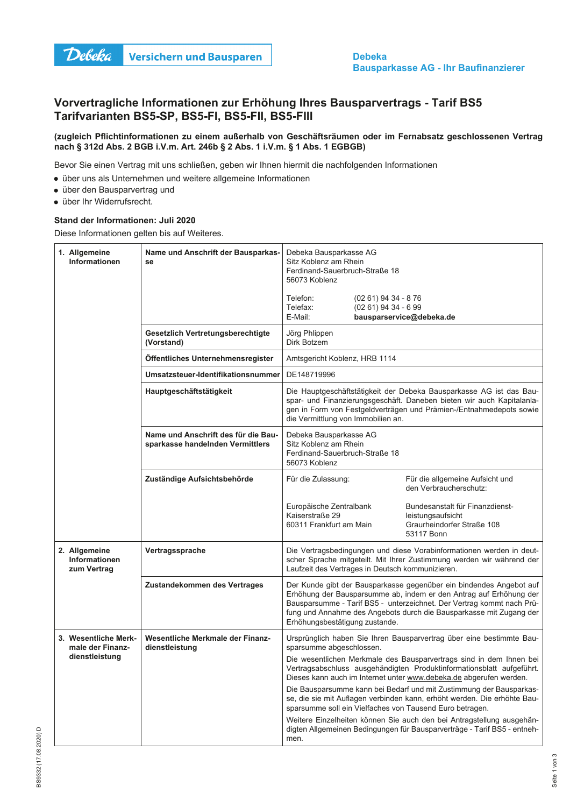

## Vorvertragliche Informationen zur Erhöhung Ihres Bausparvertrags - Tarif BS5 Tarifvarianten BS5-SP, BS5-FI, BS5-FII, BS5-FIII

## (zugleich Pflichtinformationen zu einem außerhalb von Geschäftsräumen oder im Fernabsatz geschlossenen Vertrag nach § 312d Abs. 2 BGB i.V.m. Art. 246b § 2 Abs. 1 i.V.m. § 1 Abs. 1 EGBGB)

Bevor Sie einen Vertrag mit uns schließen, geben wir Ihnen hiermit die nachfolgenden Informationen

- über uns als Unternehmen und weitere allgemeine Informationen
- · über den Bausparvertrag und
- · über Ihr Widerrufsrecht.

## Stand der Informationen: Juli 2020

Diese Informationen gelten bis auf Weiteres.

| 1. Allgemeine<br>Informationen                       | Name und Anschrift der Bausparkas-<br>se                                | Debeka Bausparkasse AG<br>Sitz Koblenz am Rhein<br>Ferdinand-Sauerbruch-Straße 18<br>56073 Koblenz                                                                                                                                                                                                                          |                                               |                                                                                                                                                                                                             |
|------------------------------------------------------|-------------------------------------------------------------------------|-----------------------------------------------------------------------------------------------------------------------------------------------------------------------------------------------------------------------------------------------------------------------------------------------------------------------------|-----------------------------------------------|-------------------------------------------------------------------------------------------------------------------------------------------------------------------------------------------------------------|
|                                                      |                                                                         | Telefon:<br>Telefax:<br>E-Mail:                                                                                                                                                                                                                                                                                             | (02 61) 94 34 - 8 76<br>$(0261)$ 94 34 - 6 99 | bausparservice@debeka.de                                                                                                                                                                                    |
|                                                      | Gesetzlich Vertretungsberechtigte<br>(Vorstand)                         | Jörg Phlippen<br>Dirk Botzem                                                                                                                                                                                                                                                                                                |                                               |                                                                                                                                                                                                             |
|                                                      | Öffentliches Unternehmensregister                                       | Amtsgericht Koblenz, HRB 1114                                                                                                                                                                                                                                                                                               |                                               |                                                                                                                                                                                                             |
|                                                      | Umsatzsteuer-Identifikationsnummer                                      | DE148719996                                                                                                                                                                                                                                                                                                                 |                                               |                                                                                                                                                                                                             |
|                                                      | Hauptgeschäftstätigkeit                                                 | Die Hauptgeschäftstätigkeit der Debeka Bausparkasse AG ist das Bau-<br>spar- und Finanzierungsgeschäft. Daneben bieten wir auch Kapitalanla-<br>gen in Form von Festgeldverträgen und Prämien-/Entnahmedepots sowie<br>die Vermittlung von Immobilien an.                                                                   |                                               |                                                                                                                                                                                                             |
|                                                      | Name und Anschrift des für die Bau-<br>sparkasse handelnden Vermittlers | Debeka Bausparkasse AG<br>Sitz Koblenz am Rhein<br>Ferdinand-Sauerbruch-Straße 18<br>56073 Koblenz                                                                                                                                                                                                                          |                                               |                                                                                                                                                                                                             |
|                                                      | Zuständige Aufsichtsbehörde                                             | Für die Zulassung:                                                                                                                                                                                                                                                                                                          |                                               | Für die allgemeine Aufsicht und<br>den Verbraucherschutz:                                                                                                                                                   |
|                                                      |                                                                         | Europäische Zentralbank<br>Kaiserstraße 29<br>60311 Frankfurt am Main                                                                                                                                                                                                                                                       |                                               | Bundesanstalt für Finanzdienst-<br>leistungsaufsicht<br>Graurheindorfer Straße 108<br>53117 Bonn                                                                                                            |
| 2. Allgemeine<br><b>Informationen</b><br>zum Vertrag | Vertragssprache<br>Laufzeit des Vertrages in Deutsch kommunizieren.     |                                                                                                                                                                                                                                                                                                                             |                                               | Die Vertragsbedingungen und diese Vorabinformationen werden in deut-<br>scher Sprache mitgeteilt. Mit Ihrer Zustimmung werden wir während der                                                               |
|                                                      | Zustandekommen des Vertrages                                            | Der Kunde gibt der Bausparkasse gegenüber ein bindendes Angebot auf<br>Erhöhung der Bausparsumme ab, indem er den Antrag auf Erhöhung der<br>Bausparsumme - Tarif BS5 - unterzeichnet. Der Vertrag kommt nach Prü-<br>fung und Annahme des Angebots durch die Bausparkasse mit Zugang der<br>Erhöhungsbestätigung zustande. |                                               |                                                                                                                                                                                                             |
| 3. Wesentliche Merk-<br>male der Finanz-             | Wesentliche Merkmale der Finanz-<br>dienstleistung                      | Ursprünglich haben Sie Ihren Bausparvertrag über eine bestimmte Bau-<br>sparsumme abgeschlossen.                                                                                                                                                                                                                            |                                               |                                                                                                                                                                                                             |
| dienstleistung                                       |                                                                         | Die wesentlichen Merkmale des Bausparvertrags sind in dem Ihnen bei<br>Vertragsabschluss ausgehändigten Produktinformationsblatt aufgeführt.<br>Dieses kann auch im Internet unter www.debeka.de abgerufen werden.                                                                                                          |                                               |                                                                                                                                                                                                             |
|                                                      |                                                                         |                                                                                                                                                                                                                                                                                                                             |                                               | Die Bausparsumme kann bei Bedarf und mit Zustimmung der Bausparkas-<br>se, die sie mit Auflagen verbinden kann, erhöht werden. Die erhöhte Bau-<br>sparsumme soll ein Vielfaches von Tausend Euro betragen. |
|                                                      |                                                                         | men.                                                                                                                                                                                                                                                                                                                        |                                               | Weitere Einzelheiten können Sie auch den bei Antragstellung ausgehän-<br>digten Allgemeinen Bedingungen für Bausparverträge - Tarif BS5 - entneh-                                                           |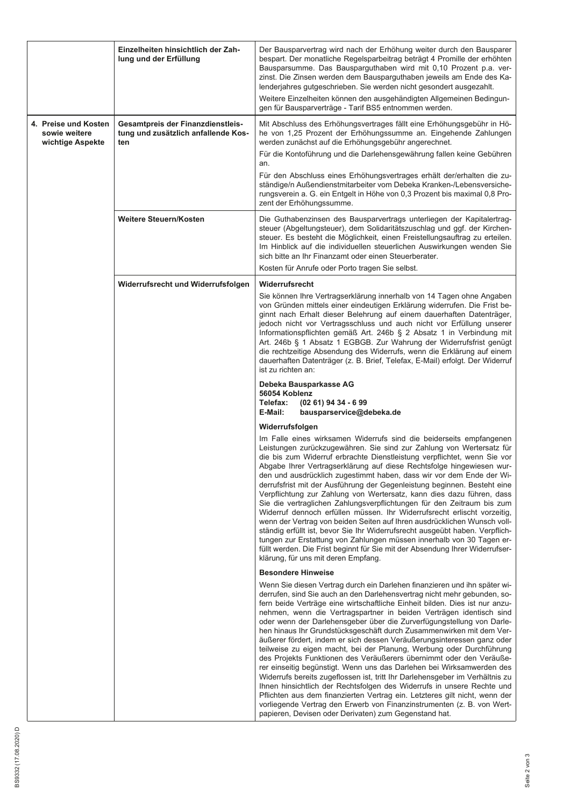|  |                                                           | Einzelheiten hinsichtlich der Zah-<br>lung und der Erfüllung                    | Der Bausparvertrag wird nach der Erhöhung weiter durch den Bausparer<br>bespart. Der monatliche Regelsparbeitrag beträgt 4 Promille der erhöhten<br>Bausparsumme. Das Bausparguthaben wird mit 0,10 Prozent p.a. ver-<br>zinst. Die Zinsen werden dem Bausparguthaben jeweils am Ende des Ka-<br>lenderjahres gutgeschrieben. Sie werden nicht gesondert ausgezahlt.<br>Weitere Einzelheiten können den ausgehändigten Allgemeinen Bedingun-<br>gen für Bausparverträge - Tarif BS5 entnommen werden.                                                                                                                                                                                                                                                                                                                                                                                                                                                                                                                                                                                                                                                                  |  |
|--|-----------------------------------------------------------|---------------------------------------------------------------------------------|------------------------------------------------------------------------------------------------------------------------------------------------------------------------------------------------------------------------------------------------------------------------------------------------------------------------------------------------------------------------------------------------------------------------------------------------------------------------------------------------------------------------------------------------------------------------------------------------------------------------------------------------------------------------------------------------------------------------------------------------------------------------------------------------------------------------------------------------------------------------------------------------------------------------------------------------------------------------------------------------------------------------------------------------------------------------------------------------------------------------------------------------------------------------|--|
|  | 4. Preise und Kosten<br>sowie weitere<br>wichtige Aspekte | Gesamtpreis der Finanzdienstleis-<br>tung und zusätzlich anfallende Kos-<br>ten | Mit Abschluss des Erhöhungsvertrages fällt eine Erhöhungsgebühr in Hö-<br>he von 1,25 Prozent der Erhöhungssumme an. Eingehende Zahlungen<br>werden zunächst auf die Erhöhungsgebühr angerechnet.<br>Für die Kontoführung und die Darlehensgewährung fallen keine Gebühren<br>an.<br>Für den Abschluss eines Erhöhungsvertrages erhält der/erhalten die zu-<br>ständige/n Außendienstmitarbeiter vom Debeka Kranken-/Lebensversiche-<br>rungsverein a. G. ein Entgelt in Höhe von 0,3 Prozent bis maximal 0,8 Pro-<br>zent der Erhöhungssumme.                                                                                                                                                                                                                                                                                                                                                                                                                                                                                                                                                                                                                         |  |
|  |                                                           | Weitere Steuern/Kosten                                                          | Die Guthabenzinsen des Bausparvertrags unterliegen der Kapitalertrag-<br>steuer (Abgeltungsteuer), dem Solidaritätszuschlag und ggf. der Kirchen-<br>steuer. Es besteht die Möglichkeit, einen Freistellungsauftrag zu erteilen.<br>Im Hinblick auf die individuellen steuerlichen Auswirkungen wenden Sie<br>sich bitte an Ihr Finanzamt oder einen Steuerberater.<br>Kosten für Anrufe oder Porto tragen Sie selbst.                                                                                                                                                                                                                                                                                                                                                                                                                                                                                                                                                                                                                                                                                                                                                 |  |
|  |                                                           | Widerrufsrecht und Widerrufsfolgen                                              | Widerrufsrecht<br>Sie können Ihre Vertragserklärung innerhalb von 14 Tagen ohne Angaben<br>von Gründen mittels einer eindeutigen Erklärung widerrufen. Die Frist be-<br>ginnt nach Erhalt dieser Belehrung auf einem dauerhaften Datenträger,<br>jedoch nicht vor Vertragsschluss und auch nicht vor Erfüllung unserer<br>Informationspflichten gemäß Art. 246b § 2 Absatz 1 in Verbindung mit<br>Art. 246b § 1 Absatz 1 EGBGB. Zur Wahrung der Widerrufsfrist genügt<br>die rechtzeitige Absendung des Widerrufs, wenn die Erklärung auf einem<br>dauerhaften Datenträger (z. B. Brief, Telefax, E-Mail) erfolgt. Der Widerruf<br>ist zu richten an:<br>Debeka Bausparkasse AG                                                                                                                                                                                                                                                                                                                                                                                                                                                                                        |  |
|  |                                                           |                                                                                 | 56054 Koblenz<br>Telefax:<br>$(0261)$ 94 34 - 6 99                                                                                                                                                                                                                                                                                                                                                                                                                                                                                                                                                                                                                                                                                                                                                                                                                                                                                                                                                                                                                                                                                                                     |  |
|  |                                                           |                                                                                 | E-Mail:<br>bausparservice@debeka.de<br>Widerrufsfolgen<br>Im Falle eines wirksamen Widerrufs sind die beiderseits empfangenen<br>Leistungen zurückzugewähren. Sie sind zur Zahlung von Wertersatz für<br>die bis zum Widerruf erbrachte Dienstleistung verpflichtet, wenn Sie vor<br>Abgabe Ihrer Vertragserklärung auf diese Rechtsfolge hingewiesen wur-<br>den und ausdrücklich zugestimmt haben, dass wir vor dem Ende der Wi-<br>derrufsfrist mit der Ausführung der Gegenleistung beginnen. Besteht eine<br>Verpflichtung zur Zahlung von Wertersatz, kann dies dazu führen, dass<br>Sie die vertraglichen Zahlungsverpflichtungen für den Zeitraum bis zum<br>Widerruf dennoch erfüllen müssen. Ihr Widerrufsrecht erlischt vorzeitig,<br>wenn der Vertrag von beiden Seiten auf Ihren ausdrücklichen Wunsch voll-<br>ständig erfüllt ist, bevor Sie Ihr Widerrufsrecht ausgeübt haben. Verpflich-<br>tungen zur Erstattung von Zahlungen müssen innerhalb von 30 Tagen er-<br>füllt werden. Die Frist beginnt für Sie mit der Absendung Ihrer Widerrufser-<br>klärung, für uns mit deren Empfang.                                                              |  |
|  |                                                           |                                                                                 | <b>Besondere Hinweise</b><br>Wenn Sie diesen Vertrag durch ein Darlehen finanzieren und ihn später wi-<br>derrufen, sind Sie auch an den Darlehensvertrag nicht mehr gebunden, so-<br>fern beide Verträge eine wirtschaftliche Einheit bilden. Dies ist nur anzu-<br>nehmen, wenn die Vertragspartner in beiden Verträgen identisch sind<br>oder wenn der Darlehensgeber über die Zurverfügungstellung von Darle-<br>hen hinaus Ihr Grundstücksgeschäft durch Zusammenwirken mit dem Ver-<br>äußerer fördert, indem er sich dessen Veräußerungsinteressen ganz oder<br>teilweise zu eigen macht, bei der Planung, Werbung oder Durchführung<br>des Projekts Funktionen des Veräußerers übernimmt oder den Veräuße-<br>rer einseitig begünstigt. Wenn uns das Darlehen bei Wirksamwerden des<br>Widerrufs bereits zugeflossen ist, tritt Ihr Darlehensgeber im Verhältnis zu<br>Ihnen hinsichtlich der Rechtsfolgen des Widerrufs in unsere Rechte und<br>Pflichten aus dem finanzierten Vertrag ein. Letzteres gilt nicht, wenn der<br>vorliegende Vertrag den Erwerb von Finanzinstrumenten (z. B. von Wert-<br>papieren, Devisen oder Derivaten) zum Gegenstand hat. |  |